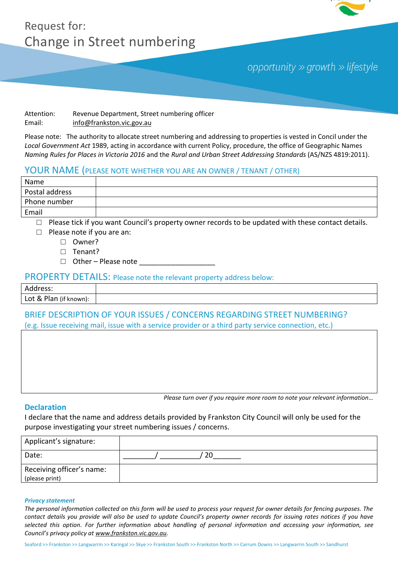

# Request for: Change in Street numbering

# opportunity  $\gg$  growth  $\gg$  lifestyle

### Attention: Revenue Department, Street numbering officer Email: [info@frankston.vic.gov.au](mailto:info@frankston.vic.gov.au)

Please note: The authority to allocate street numbering and addressing to properties is vested in Concil under the *Local Government Act* 1989, acting in accordance with current Policy, procedure, the office of Geographic Names *Naming Rules for Places in Victoria 2016* and the *Rural and Urban Street Addressing Standards* (AS/NZS 4819:2011).

## YOUR NAME (PLEASE NOTE WHETHER YOU ARE AN OWNER / TENANT / OTHER)

| Name           |  |
|----------------|--|
| Postal address |  |
| Phone number   |  |
| Email          |  |

 $\Box$  Please tick if you want Council's property owner records to be updated with these contact details.

- □ Please note if you are an:
	- □ Owner?
	- □ Tenant?
	- $\Box$  Other Please note

### PROPERTY DETAILS: Please note the relevant property address below:

| Address:               |  |
|------------------------|--|
| Lot & Plan (if known): |  |

# BRIEF DESCRIPTION OF YOUR ISSUES / CONCERNS REGARDING STREET NUMBERING?

(e.g. Issue receiving mail, issue with a service provider or a third party service connection, etc.)

*Please turn over if you require more room to note your relevant information…*

### **Declaration**

I declare that the name and address details provided by Frankston City Council will only be used for the purpose investigating your street numbering issues / concerns.

| Applicant's signature:                      |  |
|---------------------------------------------|--|
| Date:                                       |  |
| Receiving officer's name:<br>(please print) |  |

#### *Privacy statement*

*The personal information collected on this form will be used to process your request for owner details for fencing purposes. The contact details you provide will also be used to update Council's property owner records for issuing rates notices if you have selected this option. For further information about handling of personal information and accessing your information, see Council's privacy policy at [www.frankston.vic.gov.au.](http://www.frankston.vic.gov.au/)*

Seaford >> Frankston >> Langwarrin >> Karingal >> Skye >> Frankston South >> Frankston North >> Carrum Downs >> Langwarrin South >> Sandhurst